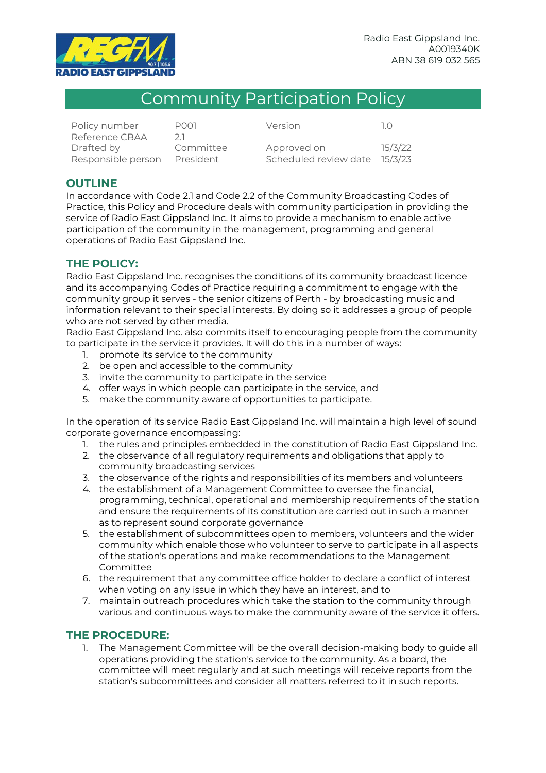

## Community Participation Policy

| Policy number      | P001      | Version               |         |
|--------------------|-----------|-----------------------|---------|
| Reference CBAA     |           |                       |         |
| Drafted by         | Committee | Approved on           | 15/3/22 |
| Responsible person | President | Scheduled review date | 15/3/23 |

## **OUTLINE**

In accordance with Code 2.1 and Code 2.2 of the Community Broadcasting Codes of Practice, this Policy and Procedure deals with community participation in providing the service of Radio East Gippsland Inc. It aims to provide a mechanism to enable active participation of the community in the management, programming and general operations of Radio East Gippsland Inc.

## **THE POLICY:**

Radio East Gippsland Inc. recognises the conditions of its community broadcast licence and its accompanying Codes of Practice requiring a commitment to engage with the community group it serves - the senior citizens of Perth - by broadcasting music and information relevant to their special interests. By doing so it addresses a group of people who are not served by other media.

Radio East Gippsland Inc. also commits itself to encouraging people from the community to participate in the service it provides. It will do this in a number of ways:

- 1. promote its service to the community
- 2. be open and accessible to the community
- 3. invite the community to participate in the service
- 4. offer ways in which people can participate in the service, and
- 5. make the community aware of opportunities to participate.

In the operation of its service Radio East Gippsland Inc. will maintain a high level of sound corporate governance encompassing:

- 1. the rules and principles embedded in the constitution of Radio East Gippsland Inc.
- 2. the observance of all regulatory requirements and obligations that apply to community broadcasting services
- 3. the observance of the rights and responsibilities of its members and volunteers
- 4. the establishment of a Management Committee to oversee the financial, programming, technical, operational and membership requirements of the station and ensure the requirements of its constitution are carried out in such a manner as to represent sound corporate governance
- 5. the establishment of subcommittees open to members, volunteers and the wider community which enable those who volunteer to serve to participate in all aspects of the station's operations and make recommendations to the Management Committee
- 6. the requirement that any committee office holder to declare a conflict of interest when voting on any issue in which they have an interest, and to
- 7. maintain outreach procedures which take the station to the community through various and continuous ways to make the community aware of the service it offers.

## **THE PROCEDURE:**

1. The Management Committee will be the overall decision-making body to guide all operations providing the station's service to the community. As a board, the committee will meet regularly and at such meetings will receive reports from the station's subcommittees and consider all matters referred to it in such reports.